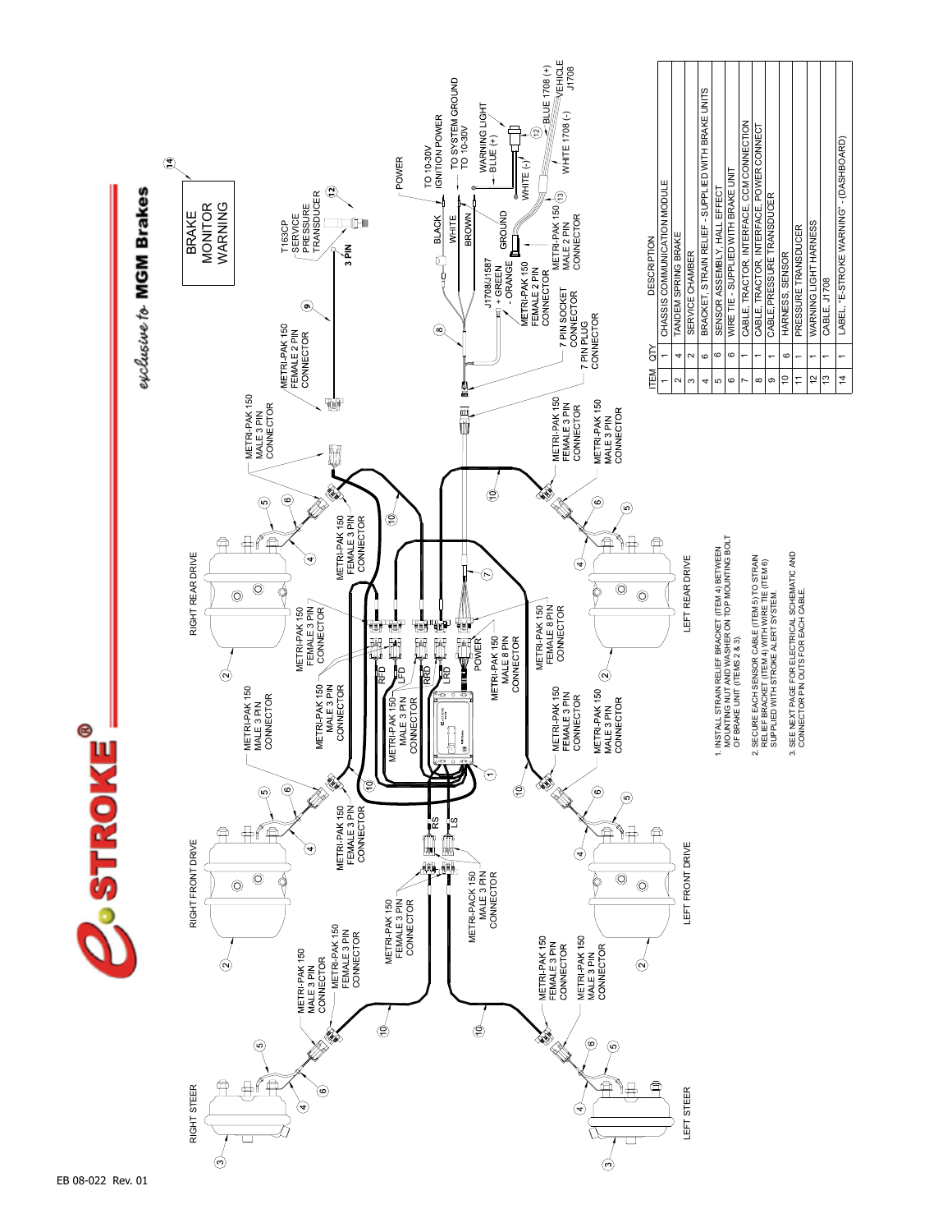